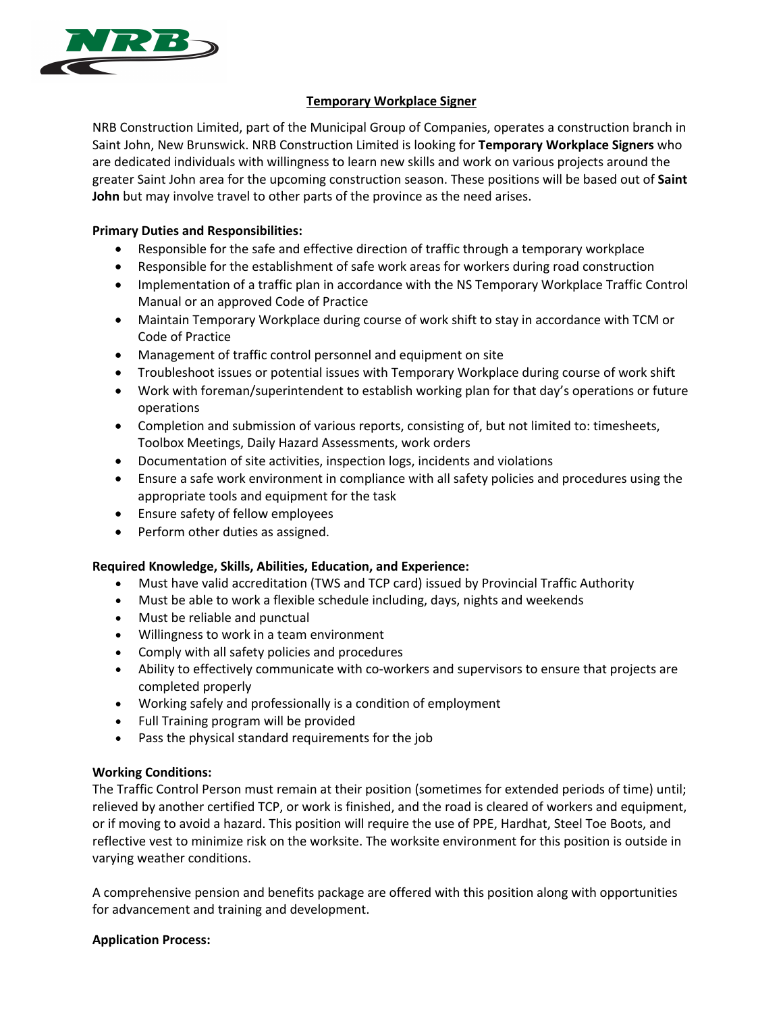

# **Temporary Workplace Signer**

NRB Construction Limited, part of the Municipal Group of Companies, operates a construction branch in Saint John, New Brunswick. NRB Construction Limited is looking for **Temporary Workplace Signers** who are dedicated individuals with willingness to learn new skills and work on various projects around the greater Saint John area for the upcoming construction season. These positions will be based out of **Saint John** but may involve travel to other parts of the province as the need arises.

## **Primary Duties and Responsibilities:**

- Responsible for the safe and effective direction of traffic through a temporary workplace
- Responsible for the establishment of safe work areas for workers during road construction
- Implementation of a traffic plan in accordance with the NS Temporary Workplace Traffic Control Manual or an approved Code of Practice
- Maintain Temporary Workplace during course of work shift to stay in accordance with TCM or Code of Practice
- Management of traffic control personnel and equipment on site
- Troubleshoot issues or potential issues with Temporary Workplace during course of work shift
- Work with foreman/superintendent to establish working plan for that day's operations or future operations
- Completion and submission of various reports, consisting of, but not limited to: timesheets, Toolbox Meetings, Daily Hazard Assessments, work orders
- Documentation of site activities, inspection logs, incidents and violations
- Ensure a safe work environment in compliance with all safety policies and procedures using the appropriate tools and equipment for the task
- Ensure safety of fellow employees
- Perform other duties as assigned.

# **Required Knowledge, Skills, Abilities, Education, and Experience:**

- Must have valid accreditation (TWS and TCP card) issued by Provincial Traffic Authority
- Must be able to work a flexible schedule including, days, nights and weekends
- Must be reliable and punctual
- Willingness to work in a team environment
- Comply with all safety policies and procedures
- Ability to effectively communicate with co-workers and supervisors to ensure that projects are completed properly
- Working safely and professionally is a condition of employment
- Full Training program will be provided
- Pass the physical standard requirements for the job

# **Working Conditions:**

The Traffic Control Person must remain at their position (sometimes for extended periods of time) until; relieved by another certified TCP, or work is finished, and the road is cleared of workers and equipment, or if moving to avoid a hazard. This position will require the use of PPE, Hardhat, Steel Toe Boots, and reflective vest to minimize risk on the worksite. The worksite environment for this position is outside in varying weather conditions.

A comprehensive pension and benefits package are offered with this position along with opportunities for advancement and training and development.

# **Application Process:**